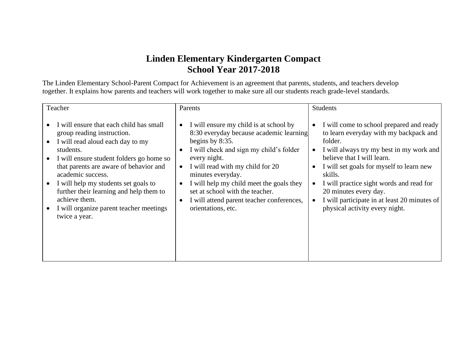## **Linden Elementary Kindergarten Compact School Year 2017-2018**

The Linden Elementary School-Parent Compact for Achievement is an agreement that parents, students, and teachers develop together. It explains how parents and teachers will work together to make sure all our students reach grade-level standards.

| Teacher                                                                                                                                                                                                                                                                                                                                                                                           | Parents                                                                                                                                                                                                                                                                                                                                                                                                           | <b>Students</b>                                                                                                                                                                                                                                                                                                                                                                       |
|---------------------------------------------------------------------------------------------------------------------------------------------------------------------------------------------------------------------------------------------------------------------------------------------------------------------------------------------------------------------------------------------------|-------------------------------------------------------------------------------------------------------------------------------------------------------------------------------------------------------------------------------------------------------------------------------------------------------------------------------------------------------------------------------------------------------------------|---------------------------------------------------------------------------------------------------------------------------------------------------------------------------------------------------------------------------------------------------------------------------------------------------------------------------------------------------------------------------------------|
| I will ensure that each child has small<br>group reading instruction.<br>I will read aloud each day to my<br>students.<br>I will ensure student folders go home so<br>that parents are aware of behavior and<br>academic success.<br>I will help my students set goals to<br>further their learning and help them to<br>achieve them.<br>I will organize parent teacher meetings<br>twice a year. | I will ensure my child is at school by<br>8:30 everyday because academic learning<br>begins by 8:35.<br>I will check and sign my child's folder<br>$\bullet$<br>every night.<br>I will read with my child for 20<br>minutes everyday.<br>I will help my child meet the goals they<br>$\bullet$<br>set at school with the teacher.<br>I will attend parent teacher conferences,<br>$\bullet$<br>orientations, etc. | I will come to school prepared and ready<br>to learn everyday with my backpack and<br>folder.<br>I will always try my best in my work and<br>believe that I will learn.<br>I will set goals for myself to learn new<br>skills.<br>I will practice sight words and read for<br>20 minutes every day.<br>I will participate in at least 20 minutes of<br>physical activity every night. |